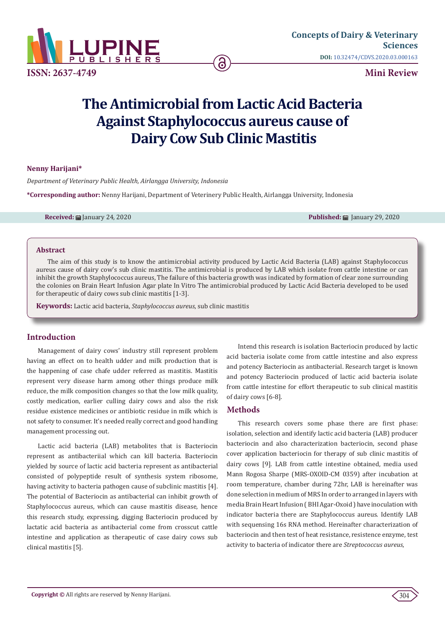

# **The Antimicrobial from Lactic Acid Bacteria Against Staphylococcus aureus cause of Dairy Cow Sub Clinic Mastitis**

ခြ

### **Nenny Harijani\***

*Department of Veterinary Public Health, Airlangga University, Indonesia*

**\*Corresponding author:** Nenny Harijani, Department of Veterinery Public Health, Airlangga University, Indonesia

**Received:** January 24, 2020 **Published:** January 29, 2020

#### **Abstract**

The aim of this study is to know the antimicrobial activity produced by Lactic Acid Bacteria (LAB) against Staphylococcus aureus cause of dairy cow's sub clinic mastitis. The antimicrobial is produced by LAB which isolate from cattle intestine or can inhibit the growth Staphylococcus aureus, The failure of this bacteria growth was indicated by formation of clear zone surrounding the colonies on Brain Heart Infusion Agar plate In Vitro The antimicrobial produced by Lactic Acid Bacteria developed to be used for therapeutic of dairy cows sub clinic mastitis [1-3].

**Keywords:** Lactic acid bacteria, *Staphylococcus aureus*, sub clinic mastitis

#### **Introduction**

Management of dairy cows' industry still represent problem having an effect on to health udder and milk production that is the happening of case chafe udder referred as mastitis. Mastitis represent very disease harm among other things produce milk reduce, the milk composition changes so that the low milk quality, costly medication, earlier culling dairy cows and also the risk residue existence medicines or antibiotic residue in milk which is not safety to consumer. It's needed really correct and good handling management processing out.

Lactic acid bacteria (LAB) metabolites that is Bacteriocin represent as antibacteriial which can kill bacteria. Bacteriocin yielded by source of lactic acid bacteria represent as antibacterial consisted of polypeptide result of synthesis system ribosome, having activity to bacteria pathogen cause of subclinic mastitis [4]. The potential of Bacteriocin as antibacterial can inhibit growth of Staphylococcus aureus, which can cause mastitis disease, hence this research study, expressing, digging Bacteriocin produced by lactatic acid bacteria as antibacterial come from crosscut cattle intestine and application as therapeutic of case dairy cows sub clinical mastitis [5].

Intend this research is isolation Bacteriocin produced by lactic acid bacteria isolate come from cattle intestine and also express and potency Bacteriocin as antibacterial. Research target is known and potency Bacteriocin produced of lactic acid bacteria isolate from cattle intestine for effort therapeutic to sub clinical mastitis of dairy cows [6-8].

## **Methods**

This research covers some phase there are first phase: isolation, selection and identify lactic acid bacteria (LAB) producer bacteriocin and also characterization bacteriocin, second phase cover application bacteriocin for therapy of sub clinic mastitis of dairy cows [9]. LAB from cattle intestine obtained, media used Mann Rogosa Sharpe (MRS-OXOID-CM 0359) after incubation at room temperature, chamber during 72hr, LAB is hereinafter was done selection in medium of MRS In order to arranged in layers with media Brain Heart Infusion ( BHI Agar-Oxoid ) have inoculation with indicator bacteria there are Staphylococcus aureus. Identify LAB with sequensing 16s RNA method. Hereinafter characterization of bacteriocin and then test of heat resistance, resistence enzyme, test activity to bacteria of indicator there are *Streptococcus aureus*,